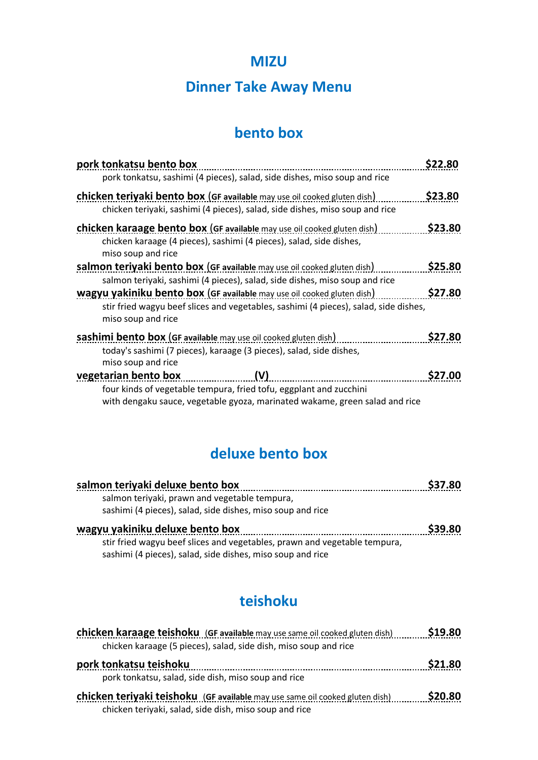#### **MIZU**

## **Dinner Take Away Menu**

#### **bento box**

| pork tonkatsu bento box                                                                                                                                                                     | 22.80٪  |
|---------------------------------------------------------------------------------------------------------------------------------------------------------------------------------------------|---------|
| pork tonkatsu, sashimi (4 pieces), salad, side dishes, miso soup and rice                                                                                                                   |         |
| <b>chicken teriyaki bento box (GF available</b> may use oil cooked gluten dish)<br>chicken teriyaki, sashimi (4 pieces), salad, side dishes, miso soup and rice                             | \$23.80 |
| <b>chicken karaage bento box (GF available may use oil cooked gluten dish)</b><br>chicken karaage (4 pieces), sashimi (4 pieces), salad, side dishes,<br>miso soup and rice                 | \$23.80 |
| salmon terivaki bento box (GF available may use oil cooked gluten dish)<br>salmon teriyaki, sashimi (4 pieces), salad, side dishes, miso soup and rice                                      | \$25.80 |
| <b>wagyu yakiniku bento box (GF available</b> may use oil cooked gluten dish)<br>stir fried wagyu beef slices and vegetables, sashimi (4 pieces), salad, side dishes,<br>miso soup and rice | \$27.80 |
| sashimi bento box (GF available may use oil cooked gluten dish)<br>today's sashimi (7 pieces), karaage (3 pieces), salad, side dishes,<br>miso soup and rice                                | \$27.80 |
| (V)<br>vegetarian bento box<br>four kinds of vegetable tempura, fried tofu, eggplant and zucchini<br>with dengaku sauce, vegetable gyoza, marinated wakame, green salad and rice            | \$27.00 |

## **deluxe bento box**

| salmon teriyaki deluxe bento box                                                                                                        | \$37.80 |
|-----------------------------------------------------------------------------------------------------------------------------------------|---------|
| salmon teriyaki, prawn and vegetable tempura,                                                                                           |         |
| sashimi (4 pieces), salad, side dishes, miso soup and rice                                                                              |         |
| wagyu yakiniku deluxe bento box                                                                                                         | S39.80  |
| stir fried wagyu beef slices and vegetables, prawn and vegetable tempura,<br>sashimi (4 pieces), salad, side dishes, miso soup and rice |         |

## **teishoku**

| chicken karaage teishoku (GF available may use same oil cooked gluten dish)         | \$19.80       |
|-------------------------------------------------------------------------------------|---------------|
| chicken karaage (5 pieces), salad, side dish, miso soup and rice                    |               |
| pork tonkatsu teishoku                                                              | <b>S21.80</b> |
| pork tonkatsu, salad, side dish, miso soup and rice                                 |               |
| <b>chicken teriyaki teishoku</b> (GF available may use same oil cooked gluten dish) | \$20.80       |
| chicken teriyaki, salad, side dish, miso soup and rice                              |               |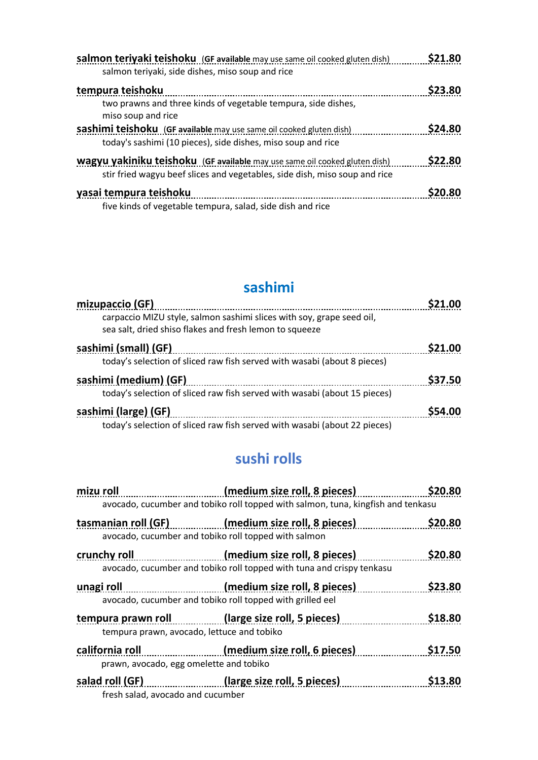| salmon teriyaki teishoku (GF available may use same oil cooked gluten dish)<br>salmon teriyaki, side dishes, miso soup and rice                          | \$21.80 |
|----------------------------------------------------------------------------------------------------------------------------------------------------------|---------|
| tempura teishoku                                                                                                                                         | \$23.80 |
| two prawns and three kinds of vegetable tempura, side dishes,<br>miso soup and rice                                                                      |         |
| <b>sashimi teishoku</b> (GF available may use same oil cooked gluten dish)<br>today's sashimi (10 pieces), side dishes, miso soup and rice               | \$24.80 |
| wagyu yakiniku teishoku (GF available may use same oil cooked gluten dish)<br>stir fried wagyu beef slices and vegetables, side dish, miso soup and rice | \$22.80 |
| yasai tempura teishoku<br>five kinds of vegetable tempura, salad, side dish and rice                                                                     | \$20.80 |

## **sashimi**

| mizupaccio (GF)                                                                                                                  | nn            |
|----------------------------------------------------------------------------------------------------------------------------------|---------------|
| carpaccio MIZU style, salmon sashimi slices with soy, grape seed oil,<br>sea salt, dried shiso flakes and fresh lemon to squeeze |               |
| sashimi (small) (GF)                                                                                                             | <b>S21.00</b> |
| today's selection of sliced raw fish served with wasabi (about 8 pieces)                                                         |               |
| sashimi (medium) (GF)                                                                                                            | \$37.50       |
| today's selection of sliced raw fish served with wasabi (about 15 pieces)                                                        |               |
| sashimi (large) (GF)                                                                                                             | \$54.00       |
| today's selection of sliced raw fish served with wasabi (about 22 pieces)                                                        |               |

# **sushi rolls**

| mizu roll                                                  | (medium size roll, 8 pieces)                                                                             | \$20.80 |
|------------------------------------------------------------|----------------------------------------------------------------------------------------------------------|---------|
|                                                            | avocado, cucumber and tobiko roll topped with salmon, tuna, kingfish and tenkasu                         |         |
|                                                            | tasmanian roll (GF) (medium size roll, 8 pieces)<br>avocado, cucumber and tobiko roll topped with salmon | \$20.80 |
| crunchy roll                                               | (medium size roll, 8 pieces)<br>avocado, cucumber and tobiko roll topped with tuna and crispy tenkasu    | \$20.80 |
| unagi roll                                                 | (medium size roll, 8 pieces)<br>avocado, cucumber and tobiko roll topped with grilled eel                | \$23.80 |
| tempura prawn, avocado, lettuce and tobiko                 | tempura prawn roll (large size roll, 5 pieces)                                                           | \$18.80 |
| california roll<br>prawn, avocado, egg omelette and tobiko | (medium size roll, 6 pieces)                                                                             | \$17.50 |
| fresh salad, avocado and cucumber                          | salad roll (GF) (large size roll, 5 pieces)                                                              | \$13.80 |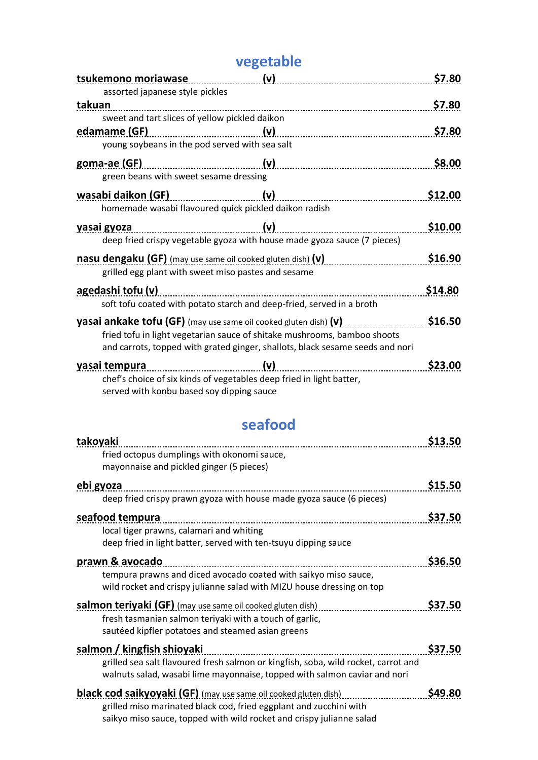## **vegetable**

| tsukemono moriawase                                                                                                    | (v) | \$7.80  |
|------------------------------------------------------------------------------------------------------------------------|-----|---------|
| assorted japanese style pickles                                                                                        |     |         |
| takuan                                                                                                                 |     | \$7.80  |
| sweet and tart slices of yellow pickled daikon                                                                         |     |         |
|                                                                                                                        |     | \$7.80  |
| young soybeans in the pod served with sea salt                                                                         |     |         |
| goma-ae (GF)                                                                                                           |     | \$8.00  |
| green beans with sweet sesame dressing                                                                                 |     |         |
| wasabi daikon (GF)                                                                                                     | (v) | \$12.00 |
| homemade wasabi flavoured quick pickled daikon radish                                                                  |     |         |
| <u>yasai gyoza</u>                                                                                                     |     | \$10.00 |
| deep fried crispy vegetable gyoza with house made gyoza sauce (7 pieces)                                               |     |         |
| nasu dengaku (GF) (may use same oil cooked gluten dish) (v) <i>masu dengaku</i> (may may may may may may may may may m |     | \$16.90 |
| grilled egg plant with sweet miso pastes and sesame                                                                    |     |         |
| agedashi tofu (v)                                                                                                      |     | \$14.80 |
| soft tofu coated with potato starch and deep-fried, served in a broth                                                  |     |         |
| yasai ankake tofu (GF) (may use same oil cooked gluten dish) (v)                                                       |     | \$16.50 |
| fried tofu in light vegetarian sauce of shitake mushrooms, bamboo shoots                                               |     |         |
| and carrots, topped with grated ginger, shallots, black sesame seeds and nori                                          |     |         |
| yasai tempura<br>chef's choice of six kinds of vegetables deep fried in light batter,                                  | (v) | \$23.00 |
| served with konbu based soy dipping sauce                                                                              |     |         |

# **seafood**

| takoyaki                                                                                | \$13.50 |
|-----------------------------------------------------------------------------------------|---------|
| fried octopus dumplings with okonomi sauce,<br>mayonnaise and pickled ginger (5 pieces) |         |
| ebi gyoza                                                                               | \$15.50 |
| deep fried crispy prawn gyoza with house made gyoza sauce (6 pieces)                    |         |
| seafood tempura                                                                         | \$37.50 |
| local tiger prawns, calamari and whiting                                                |         |
| deep fried in light batter, served with ten-tsuyu dipping sauce                         |         |
| prawn & avocado                                                                         | \$36.50 |
| tempura prawns and diced avocado coated with saikyo miso sauce,                         |         |
| wild rocket and crispy julianne salad with MIZU house dressing on top                   |         |
| salmon teriyaki (GF) (may use same oil cooked gluten dish)                              | \$37.50 |
| fresh tasmanian salmon teriyaki with a touch of garlic,                                 |         |
| sautéed kipfler potatoes and steamed asian greens                                       |         |
| salmon / kingfish shioyaki                                                              | \$37.50 |
| grilled sea salt flavoured fresh salmon or kingfish, soba, wild rocket, carrot and      |         |
| walnuts salad, wasabi lime mayonnaise, topped with salmon caviar and nori               |         |
| <b>black cod saikyoyaki (GF)</b> (may use same oil cooked gluten dish)                  | \$49.80 |
| grilled miso marinated black cod, fried eggplant and zucchini with                      |         |
| saikyo miso sauce, topped with wild rocket and crispy julianne salad                    |         |